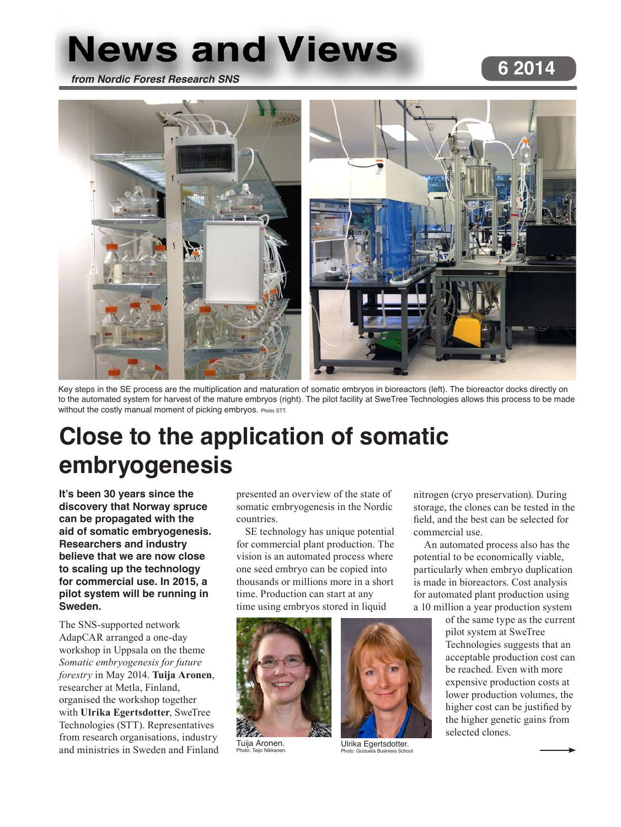# **News and Views**

*from Nordic Forest Research SNS*

### **6 2014**



Key steps in the SE process are the multiplication and maturation of somatic embryos in bioreactors (left). The bioreactor docks directly on to the automated system for harvest of the mature embryos (right). The pilot facility at SweTree Technologies allows this process to be made without the costly manual moment of picking embryos. Photo STT.

## **Close to the application of somatic embryogenesis**

**It's been 30 years since the discovery that Norway spruce can be propagated with the aid of somatic embryogenesis. Researchers and industry believe that we are now close to scaling up the technology for commercial use. In 2015, a pilot system will be running in Sweden.**

The SNS-supported network AdapCAR arranged a one-day workshop in Uppsala on the theme *Somatic embryogenesis for future forestry* in May 2014. **Tuija Aronen**, researcher at Metla, Finland, organised the workshop together with **Ulrika Egertsdotter**, SweTree Technologies (STT). Representatives from research organisations, industry and ministries in Sweden and Finland presented an overview of the state of somatic embryogenesis in the Nordic countries.

SE technology has unique potential for commercial plant production. The vision is an automated process where one seed embryo can be copied into thousands or millions more in a short time. Production can start at any time using embryos stored in liquid

> Ulrika Egertsdotter. Photo: Goizueta Business School



Tuija Aronen. Photo: Teijo Nikkan



nitrogen (cryo preservation). During

potential to be economically viable, particularly when embryo duplication is made in bioreactors. Cost analysis for automated plant production using a 10 million a year production system

> of the same type as the current pilot system at SweTree Technologies suggests that an acceptable production cost can be reached. Even with more expensive production costs at lower production volumes, the higher cost can be justified by the higher genetic gains from selected clones.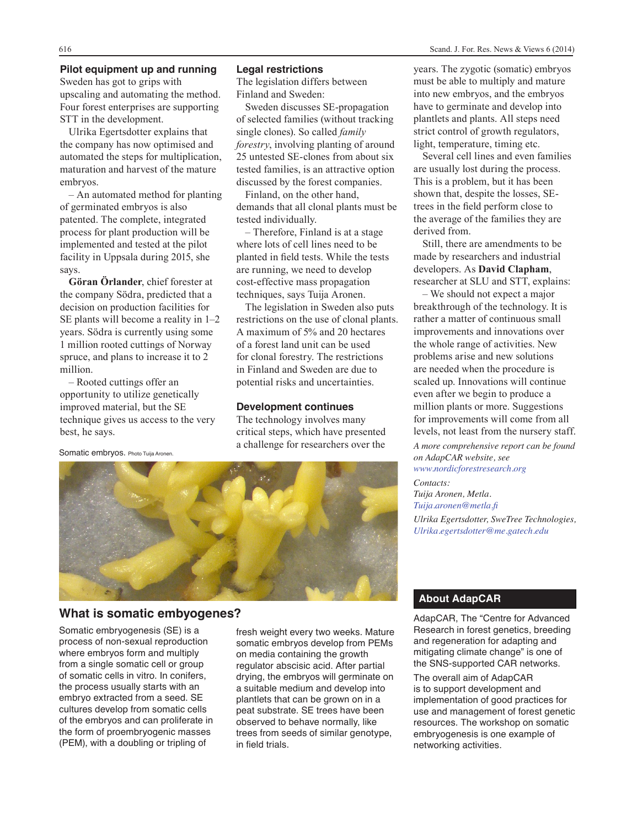### **Pilot equipment up and running**

Sweden has got to grips with upscaling and automating the method. Four forest enterprises are supporting STT in the development.

Ulrika Egertsdotter explains that the company has now optimised and automated the steps for multiplication, maturation and harvest of the mature embryos.

– An automated method for planting of germinated embryos is also patented. The complete, integrated process for plant production will be implemented and tested at the pilot facility in Uppsala during 2015, she says.

**Göran Örlander**, chief forester at the company Södra, predicted that a decision on production facilities for SE plants will become a reality in 1–2 years. Södra is currently using some 1 million rooted cuttings of Norway spruce, and plans to increase it to 2 million.

– Rooted cuttings offer an opportunity to utilize genetically improved material, but the SE technique gives us access to the very best, he says.

### **Legal restrictions**

The legislation differs between Finland and Sweden:

Sweden discusses SE-propagation of selected families (without tracking single clones). So called *family forestry*, involving planting of around 25 untested SE-clones from about six tested families, is an attractive option discussed by the forest companies.

Finland, on the other hand, demands that all clonal plants must be tested individually.

– Therefore, Finland is at a stage where lots of cell lines need to be planted in field tests. While the tests are running, we need to develop cost-effective mass propagation techniques, says Tuija Aronen.

The legislation in Sweden also puts restrictions on the use of clonal plants. A maximum of 5% and 20 hectares of a forest land unit can be used for clonal forestry. The restrictions in Finland and Sweden are due to potential risks and uncertainties.

#### **Development continues**

The technology involves many critical steps, which have presented a challenge for researchers over the



### **What is somatic embyogenes?**

Somatic embryogenesis (SE) is a process of non-sexual reproduction where embryos form and multiply from a single somatic cell or group of somatic cells in vitro. In conifers, the process usually starts with an embryo extracted from a seed. SE cultures develop from somatic cells of the embryos and can proliferate in the form of proembryogenic masses (PEM), with a doubling or tripling of

fresh weight every two weeks. Mature somatic embryos develop from PEMs on media containing the growth regulator abscisic acid. After partial drying, the embryos will germinate on a suitable medium and develop into plantlets that can be grown on in a peat substrate. SE trees have been observed to behave normally, like trees from seeds of similar genotype, in field trials.

years. The zygotic (somatic) embryos must be able to multiply and mature into new embryos, and the embryos have to germinate and develop into plantlets and plants. All steps need strict control of growth regulators, light, temperature, timing etc.

Several cell lines and even families are usually lost during the process. This is a problem, but it has been shown that, despite the losses, SEtrees in the field perform close to the average of the families they are derived from.

Still, there are amendments to be made by researchers and industrial developers. As **David Clapham**, researcher at SLU and STT, explains:

– We should not expect a major breakthrough of the technology. It is rather a matter of continuous small improvements and innovations over the whole range of activities. New problems arise and new solutions are needed when the procedure is scaled up. Innovations will continue even after we begin to produce a million plants or more. Suggestions for improvements will come from all levels, not least from the nursery staff.

*A more comprehensive report can be found on AdapCAR website, see www.nordicforestresearch.org*

*Contacts: Tuija Aronen, Metla. Tuija.aronen@metla.fi Ulrika Egertsdotter, SweTree Technologies, Ulrika.egertsdotter@me.gatech.edu*

### **About AdapCAR**

AdapCAR, The "Centre for Advanced Research in forest genetics, breeding and regeneration for adapting and mitigating climate change" is one of the SNS-supported CAR networks.

The overall aim of AdapCAR is to support development and implementation of good practices for use and management of forest genetic resources. The workshop on somatic embryogenesis is one example of networking activities.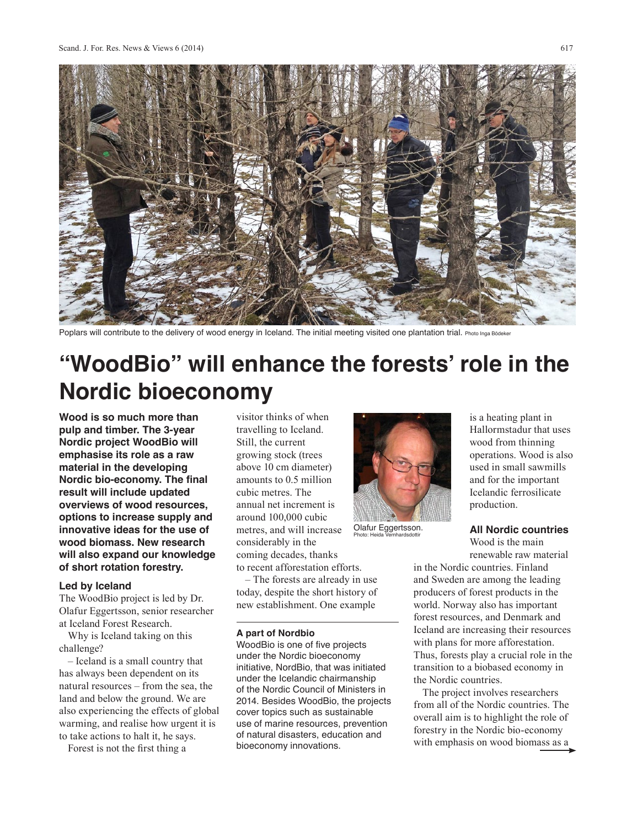

Poplars will contribute to the delivery of wood energy in Iceland. The initial meeting visited one plantation trial. Photo Inga Bödeker

### **"WoodBio" will enhance the forests' role in the Nordic bioeconomy**

**Wood is so much more than pulp and timber. The 3-year Nordic project WoodBio will emphasise its role as a raw material in the developing Nordic bio-economy. The final result will include updated overviews of wood resources, options to increase supply and innovative ideas for the use of wood biomass. New research will also expand our knowledge of short rotation forestry.**

### **Led by Iceland**

The WoodBio project is led by Dr. Olafur Eggertsson, senior researcher at Iceland Forest Research.

Why is Iceland taking on this challenge?

– Iceland is a small country that has always been dependent on its natural resources – from the sea, the land and below the ground. We are also experiencing the effects of global warming, and realise how urgent it is to take actions to halt it, he says.

Forest is not the first thing a

visitor thinks of when travelling to Iceland. Still, the current growing stock (trees above 10 cm diameter) amounts to 0.5 million cubic metres. The annual net increment is around 100,000 cubic metres, and will increase considerably in the coming decades, thanks to recent afforestation efforts.

– The forests are already in use today, despite the short history of new establishment. One example

#### **A part of Nordbio**

WoodBio is one of five projects under the Nordic bioeconomy initiative, NordBio, that was initiated under the Icelandic chairmanship of the Nordic Council of Ministers in 2014. Besides WoodBio, the projects cover topics such as sustainable use of marine resources, prevention of natural disasters, education and bioeconomy innovations.



Olafur Eggertsson. Photo: Heida Vernhardsdottir

is a heating plant in Hallormstadur that uses wood from thinning operations. Wood is also used in small sawmills and for the important Icelandic ferrosilicate production.

### **All Nordic countries**

Wood is the main renewable raw material

in the Nordic countries. Finland and Sweden are among the leading producers of forest products in the world. Norway also has important forest resources, and Denmark and Iceland are increasing their resources with plans for more afforestation. Thus, forests play a crucial role in the transition to a biobased economy in the Nordic countries.

The project involves researchers from all of the Nordic countries. The overall aim is to highlight the role of forestry in the Nordic bio-economy with emphasis on wood biomass as a